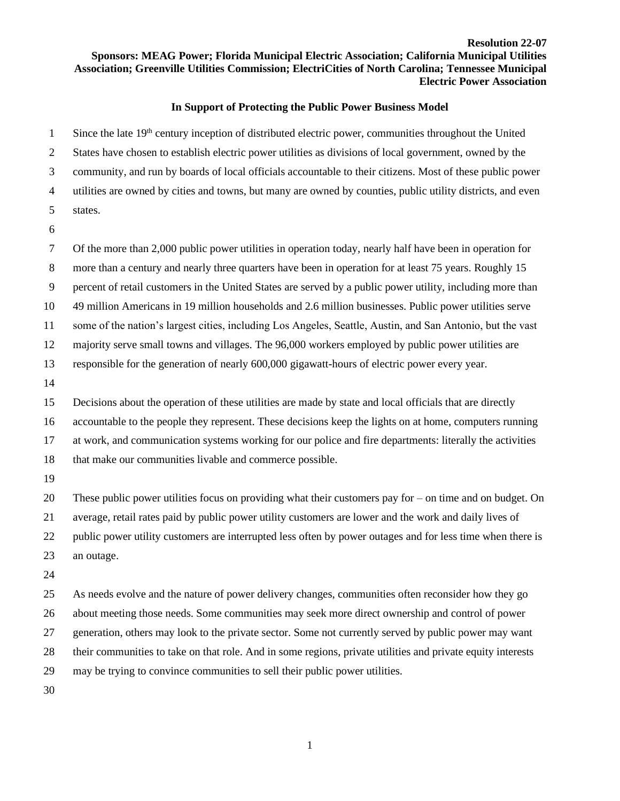## **Resolution 22-07 Sponsors: MEAG Power; Florida Municipal Electric Association; California Municipal Utilities Association; Greenville Utilities Commission; ElectriCities of North Carolina; Tennessee Municipal Electric Power Association**

## **In Support of Protecting the Public Power Business Model**

 Since the late  $19<sup>th</sup>$  century inception of distributed electric power, communities throughout the United States have chosen to establish electric power utilities as divisions of local government, owned by the community, and run by boards of local officials accountable to their citizens. Most of these public power utilities are owned by cities and towns, but many are owned by counties, public utility districts, and even states.

 Of the more than 2,000 public power utilities in operation today, nearly half have been in operation for more than a century and nearly three quarters have been in operation for at least 75 years. Roughly 15 percent of retail customers in the United States are served by a public power utility, including more than 49 million Americans in 19 million households and 2.6 million businesses. Public power utilities serve some of the nation's largest cities, including Los Angeles, Seattle, Austin, and San Antonio, but the vast majority serve small towns and villages. The 96,000 workers employed by public power utilities are responsible for the generation of nearly 600,000 gigawatt-hours of electric power every year. Decisions about the operation of these utilities are made by state and local officials that are directly accountable to the people they represent. These decisions keep the lights on at home, computers running

at work, and communication systems working for our police and fire departments: literally the activities

that make our communities livable and commerce possible.

These public power utilities focus on providing what their customers pay for – on time and on budget. On

 average, retail rates paid by public power utility customers are lower and the work and daily lives of public power utility customers are interrupted less often by power outages and for less time when there is

- an outage.
- 

 As needs evolve and the nature of power delivery changes, communities often reconsider how they go about meeting those needs. Some communities may seek more direct ownership and control of power generation, others may look to the private sector. Some not currently served by public power may want their communities to take on that role. And in some regions, private utilities and private equity interests may be trying to convince communities to sell their public power utilities.